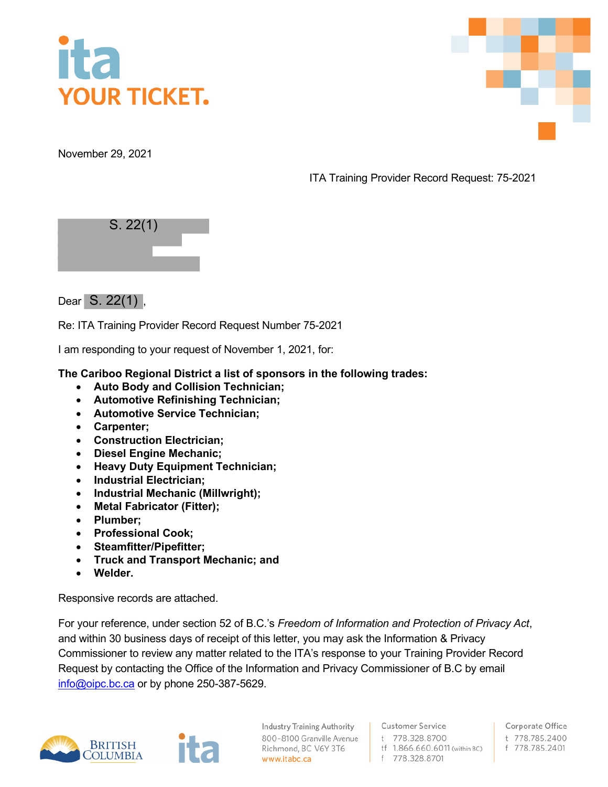

November 29, 2021

ITA Training Provider Record Request: 75-2021







Re: ITA Training Provider Record Request Number 75-2021

I am responding to your request of November 1, 2021, for:

**The Cariboo Regional District a list of sponsors in the following trades:**

- **Auto Body and Collision Technician;**
- **Automotive Refinishing Technician;**
- **Automotive Service Technician;**
- **Carpenter;**
- **Construction Electrician;**
- **Diesel Engine Mechanic;**
- **Heavy Duty Equipment Technician;**
- **Industrial Electrician;**
- **Industrial Mechanic (Millwright);**
- **Metal Fabricator (Fitter);**
- **Plumber;**
- **Professional Cook;**
- **Steamfitter/Pipefitter;**
- **Truck and Transport Mechanic; and**
- **Welder.**

Responsive records are attached.

For your reference, under section 52 of B.C.'s *Freedom of Information and Protection of Privacy Act*, and within 30 business days of receipt of this letter, you may ask the Information & Privacy Commissioner to review any matter related to the ITA's response to your Training Provider Record Request by contacting the Office of the Information and Privacy Commissioner of B.C by email [info@oipc.bc.ca](mailto:info@oipc.bc.ca) or by phone 250-387-5629.



**Industry Training Authority** 800-8100 Granville Avenue Richmond, BC V6Y 3T6 www.itabc.ca

**Customer Service** t 778.328.8700 tf 1.866.660.6011 (within BC) f 778.328.8701

Corporate Office t 778.785.2400 f 778.785.2401